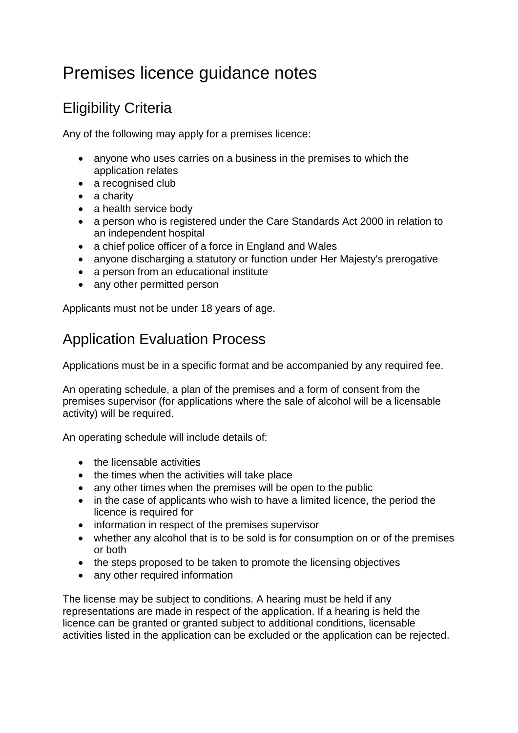## Premises licence guidance notes

## Eligibility Criteria

Any of the following may apply for a premises licence:

- anyone who uses carries on a business in the premises to which the application relates
- a recognised club
- a charity
- a health service body
- a person who is registered under the Care Standards Act 2000 in relation to an independent hospital
- a chief police officer of a force in England and Wales
- anyone discharging a statutory or function under Her Majesty's prerogative
- a person from an educational institute
- any other permitted person

Applicants must not be under 18 years of age.

## Application Evaluation Process

Applications must be in a specific format and be accompanied by any required fee.

An operating schedule, a plan of the premises and a form of consent from the premises supervisor (for applications where the sale of alcohol will be a licensable activity) will be required.

An operating schedule will include details of:

- the licensable activities
- the times when the activities will take place
- any other times when the premises will be open to the public
- in the case of applicants who wish to have a limited licence, the period the licence is required for
- information in respect of the premises supervisor
- whether any alcohol that is to be sold is for consumption on or of the premises or both
- the steps proposed to be taken to promote the licensing objectives
- any other required information

The license may be subject to conditions. A hearing must be held if any representations are made in respect of the application. If a hearing is held the licence can be granted or granted subject to additional conditions, licensable activities listed in the application can be excluded or the application can be rejected.